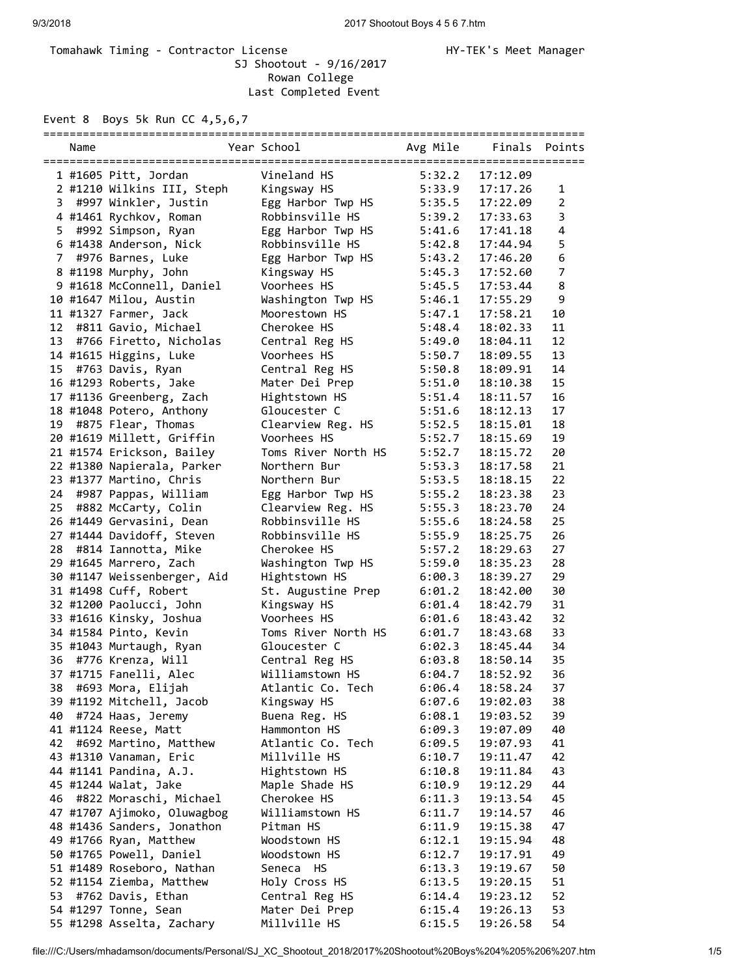## Tomahawk Timing - Contractor License Manager Manager HY-TEK's Meet Manager SJ Shootout - 9/16/2017 Rowan College Last Completed Event

Event 8 Boys 5k Run CC 4,5,6,7

|    | Name |                             | Year School         | Avg Mile | Finals   | Points         |
|----|------|-----------------------------|---------------------|----------|----------|----------------|
|    |      |                             |                     |          |          |                |
|    |      | 1 #1605 Pitt, Jordan        | Vineland HS         | 5:32.2   | 17:12.09 |                |
|    |      | 2 #1210 Wilkins III, Steph  | Kingsway HS         | 5:33.9   | 17:17.26 | 1              |
|    |      | 3 #997 Winkler, Justin      | Egg Harbor Twp HS   | 5:35.5   | 17:22.09 | $\overline{2}$ |
|    |      | 4 #1461 Rychkov, Roman      | Robbinsville HS     | 5:39.2   | 17:33.63 | 3              |
| 5  |      | #992 Simpson, Ryan          | Egg Harbor Twp HS   | 5:41.6   | 17:41.18 | 4              |
|    |      | 6 #1438 Anderson, Nick      | Robbinsville HS     | 5:42.8   | 17:44.94 | 5              |
| 7  |      | #976 Barnes, Luke           | Egg Harbor Twp HS   | 5:43.2   | 17:46.20 | 6              |
|    |      | 8 #1198 Murphy, John        | Kingsway HS         | 5:45.3   | 17:52.60 | 7              |
|    |      | 9 #1618 McConnell, Daniel   | Voorhees HS         | 5:45.5   | 17:53.44 | 8              |
|    |      | 10 #1647 Milou, Austin      | Washington Twp HS   | 5:46.1   | 17:55.29 | 9              |
|    |      | 11 #1327 Farmer, Jack       | Moorestown HS       | 5:47.1   | 17:58.21 | 10             |
| 12 |      | #811 Gavio, Michael         | Cherokee HS         | 5:48.4   | 18:02.33 | 11             |
| 13 |      | #766 Firetto, Nicholas      | Central Reg HS      | 5:49.0   | 18:04.11 | 12             |
|    |      | 14 #1615 Higgins, Luke      | Voorhees HS         | 5:50.7   | 18:09.55 | 13             |
| 15 |      | #763 Davis, Ryan            | Central Reg HS      | 5:50.8   | 18:09.91 | 14             |
|    |      | 16 #1293 Roberts, Jake      | Mater Dei Prep      | 5:51.0   | 18:10.38 | 15             |
|    |      | 17 #1136 Greenberg, Zach    | Hightstown HS       | 5:51.4   | 18:11.57 | 16             |
|    |      | 18 #1048 Potero, Anthony    | Gloucester C        | 5:51.6   | 18:12.13 | 17             |
|    |      | 19 #875 Flear, Thomas       | Clearview Reg. HS   | 5:52.5   | 18:15.01 | 18             |
|    |      | 20 #1619 Millett, Griffin   | Voorhees HS         | 5:52.7   | 18:15.69 | 19             |
|    |      | 21 #1574 Erickson, Bailey   | Toms River North HS | 5:52.7   | 18:15.72 | 20             |
|    |      | 22 #1380 Napierala, Parker  | Northern Bur        | 5:53.3   | 18:17.58 | 21             |
|    |      | 23 #1377 Martino, Chris     | Northern Bur        | 5:53.5   | 18:18.15 | 22             |
| 24 |      | #987 Pappas, William        | Egg Harbor Twp HS   | 5:55.2   | 18:23.38 | 23             |
| 25 |      | #882 McCarty, Colin         | Clearview Reg. HS   | 5:55.3   | 18:23.70 | 24             |
|    |      | 26 #1449 Gervasini, Dean    | Robbinsville HS     | 5:55.6   | 18:24.58 | 25             |
|    |      | 27 #1444 Davidoff, Steven   | Robbinsville HS     | 5:55.9   | 18:25.75 | 26             |
| 28 |      | #814 Iannotta, Mike         | Cherokee HS         | 5:57.2   | 18:29.63 | 27             |
|    |      | 29 #1645 Marrero, Zach      | Washington Twp HS   | 5:59.0   | 18:35.23 | 28             |
|    |      | 30 #1147 Weissenberger, Aid | Hightstown HS       | 6:00.3   | 18:39.27 | 29             |
|    |      | 31 #1498 Cuff, Robert       | St. Augustine Prep  | 6:01.2   | 18:42.00 | 30             |
|    |      | 32 #1200 Paolucci, John     | Kingsway HS         | 6:01.4   | 18:42.79 | 31             |
|    |      | 33 #1616 Kinsky, Joshua     | Voorhees HS         | 6:01.6   | 18:43.42 | 32             |
|    |      | 34 #1584 Pinto, Kevin       | Toms River North HS | 6:01.7   | 18:43.68 | 33             |
|    |      | 35 #1043 Murtaugh, Ryan     | Gloucester C        | 6:02.3   | 18:45.44 | 34             |
|    |      | 36 #776 Krenza, Will        | Central Reg HS      | 6:03.8   | 18:50.14 | 35             |
|    |      | 37 #1715 Fanelli, Alec      | Williamstown HS     | 6:04.7   | 18:52.92 | 36             |
| 38 |      | #693 Mora, Elijah           | Atlantic Co. Tech   | 6:06.4   | 18:58.24 | 37             |
|    |      | 39 #1192 Mitchell, Jacob    | Kingsway HS         | 6:07.6   | 19:02.03 | 38             |
| 40 |      | #724 Haas, Jeremy           | Buena Reg. HS       | 6:08.1   | 19:03.52 | 39             |
|    |      | 41 #1124 Reese, Matt        | Hammonton HS        | 6:09.3   | 19:07.09 | 40             |
| 42 |      | #692 Martino, Matthew       | Atlantic Co. Tech   | 6:09.5   | 19:07.93 | 41             |
|    |      | 43 #1310 Vanaman, Eric      | Millville HS        | 6:10.7   | 19:11.47 | 42             |
|    |      | 44 #1141 Pandina, A.J.      | Hightstown HS       | 6:10.8   | 19:11.84 | 43             |
|    |      | 45 #1244 Walat, Jake        | Maple Shade HS      | 6:10.9   | 19:12.29 | 44             |
| 46 |      | #822 Moraschi, Michael      | Cherokee HS         | 6:11.3   | 19:13.54 | 45             |
|    |      | 47 #1707 Ajimoko, Oluwagbog | Williamstown HS     | 6:11.7   | 19:14.57 | 46             |
|    |      | 48 #1436 Sanders, Jonathon  | Pitman HS           | 6:11.9   | 19:15.38 | 47             |
|    |      | 49 #1766 Ryan, Matthew      | Woodstown HS        | 6:12.1   | 19:15.94 | 48             |
|    |      | 50 #1765 Powell, Daniel     | Woodstown HS        | 6:12.7   | 19:17.91 | 49             |
|    |      | 51 #1489 Roseboro, Nathan   | Seneca HS           | 6:13.3   | 19:19.67 | 50             |
|    |      | 52 #1154 Ziemba, Matthew    | Holy Cross HS       | 6:13.5   | 19:20.15 | 51             |
| 53 |      | #762 Davis, Ethan           | Central Reg HS      | 6:14.4   | 19:23.12 | 52             |
|    |      | 54 #1297 Tonne, Sean        | Mater Dei Prep      | 6:15.4   | 19:26.13 | 53<br>54       |
|    |      | 55 #1298 Asselta, Zachary   | Millville HS        | 6:15.5   | 19:26.58 |                |

file:///C:/Users/mhadamson/documents/Personal/SJ\_XC\_Shootout\_2018/2017%20Shootout%20Boys%204%205%206%207.htm 1/5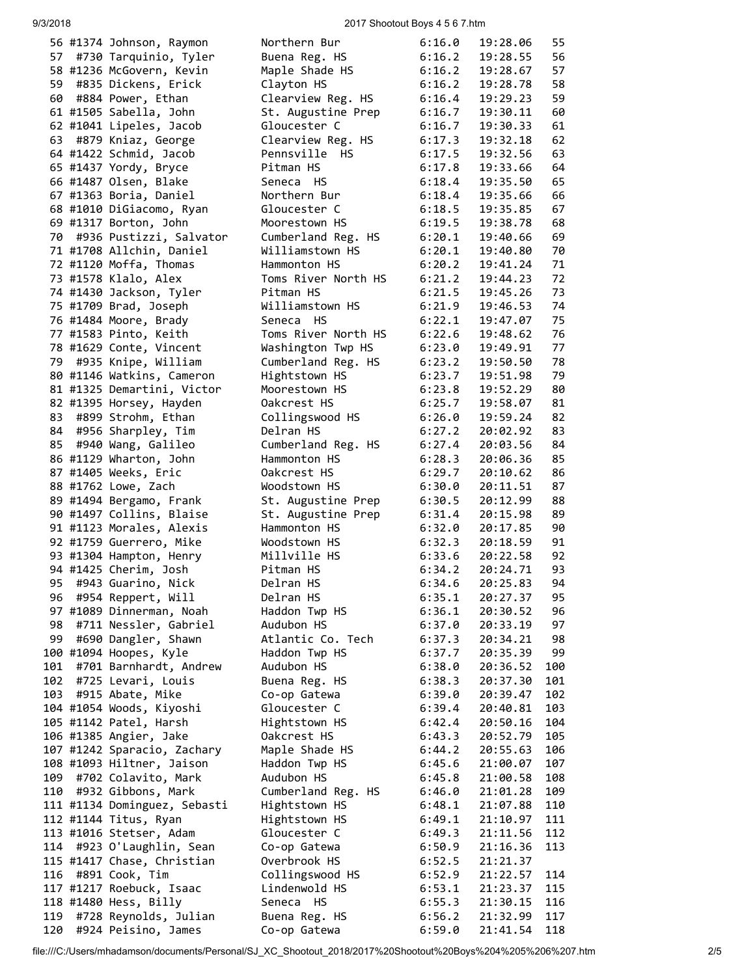9/3/2018 2017 Shootout Boys 4 5 6 7.htm

|      | 56 #1374 Johnson, Raymon                             | Northern Bur                       | 6:16.0           | 19:28.06             | 55       |
|------|------------------------------------------------------|------------------------------------|------------------|----------------------|----------|
| 57   | #730 Tarquinio, Tyler                                | Buena Reg. HS                      | 6:16.2           | 19:28.55             | 56       |
|      | 58 #1236 McGovern, Kevin                             | Maple Shade HS                     | 6:16.2           | 19:28.67             | 57       |
| 59   | #835 Dickens, Erick                                  | Clayton HS                         | 6:16.2           | 19:28.78             | 58       |
| 60   | #884 Power, Ethan                                    | Clearview Reg. HS                  | 6:16.4           | 19:29.23             | 59       |
|      | 61 #1505 Sabella, John                               | St. Augustine Prep                 | 6:16.7           | 19:30.11             | 60       |
|      | 62 #1041 Lipeles, Jacob                              | Gloucester C                       | 6:16.7           | 19:30.33             | 61       |
|      | 63 #879 Kniaz, George                                | Clearview Reg. HS                  | 6:17.3           | 19:32.18             | 62       |
|      | 64 #1422 Schmid, Jacob                               | Pennsville HS                      | 6:17.5           | 19:32.56             | 63       |
|      | 65 #1437 Yordy, Bryce                                | Pitman HS                          | 6:17.8           | 19:33.66             | 64       |
|      | 66 #1487 Olsen, Blake                                | Seneca HS                          | 6:18.4           | 19:35.50             | 65       |
|      | 67 #1363 Boria, Daniel                               | Northern Bur                       | 6:18.4           | 19:35.66             | 66       |
|      | 68 #1010 DiGiacomo, Ryan                             | Gloucester C                       | 6:18.5           | 19:35.85             | 67       |
|      | 69 #1317 Borton, John                                | Moorestown HS                      | 6:19.5           | 19:38.78             | 68       |
|      | 70 #936 Pustizzi, Salvator                           | Cumberland Reg. HS                 | 6:20.1           | 19:40.66             | 69       |
|      | 71 #1708 Allchin, Daniel                             | Williamstown HS                    | 6:20.1           | 19:40.80             | 70       |
|      | 72 #1120 Moffa, Thomas                               | Hammonton HS                       | 6:20.2           | 19:41.24             | 71       |
|      | 73 #1578 Klalo, Alex                                 | Toms River North HS                | 6:21.2           | 19:44.23             | 72       |
|      | 74 #1430 Jackson, Tyler                              | Pitman HS                          | 6:21.5           | 19:45.26             | 73       |
|      | 75 #1709 Brad, Joseph                                | Williamstown HS                    | 6:21.9           | 19:46.53             | 74       |
|      | 76 #1484 Moore, Brady                                | <b>HS</b><br>Seneca                | 6:22.1           | 19:47.07             | 75       |
|      | 77 #1583 Pinto, Keith                                | Toms River North HS                | 6:22.6           | 19:48.62             | 76       |
|      | 78 #1629 Conte, Vincent                              | Washington Twp HS                  | 6:23.0           | 19:49.91             | 77       |
| 79 - | #935 Knipe, William                                  | Cumberland Reg. HS                 | 6:23.2           | 19:50.50             | 78       |
|      | 80 #1146 Watkins, Cameron                            | Hightstown HS                      | 6:23.7           | 19:51.98             | 79       |
|      | 81 #1325 Demartini, Victor                           | Moorestown HS                      | 6:23.8           | 19:52.29             | 80       |
|      | 82 #1395 Horsey, Hayden                              | Oakcrest HS                        | 6:25.7           | 19:58.07             | 81       |
| 83   | #899 Strohm, Ethan                                   | Collingswood HS                    | 6:26.0           | 19:59.24             | 82       |
| 84   | #956 Sharpley, Tim                                   | Delran HS                          | 6:27.2           | 20:02.92             | 83       |
| 85   |                                                      |                                    | 6:27.4           | 20:03.56             | 84       |
|      | #940 Wang, Galileo                                   | Cumberland Reg. HS<br>Hammonton HS |                  | 20:06.36             | 85       |
|      | 86 #1129 Wharton, John                               |                                    | 6:28.3           |                      |          |
|      | 87 #1405 Weeks, Eric                                 | Oakcrest HS                        | 6:29.7           | 20:10.62             | 86<br>87 |
|      | 88 #1762 Lowe, Zach                                  | Woodstown HS                       | 6:30.0<br>6:30.5 | 20:11.51             |          |
|      | 89 #1494 Bergamo, Frank                              | St. Augustine Prep                 | 6:31.4           | 20:12.99<br>20:15.98 | 88       |
|      | 90 #1497 Collins, Blaise<br>91 #1123 Morales, Alexis | St. Augustine Prep                 | 6:32.0           | 20:17.85             | 89       |
|      |                                                      | Hammonton HS                       |                  |                      | 90       |
|      | 92 #1759 Guerrero, Mike                              | Woodstown HS                       | 6:32.3           | 20:18.59             | 91       |
|      | 93 #1304 Hampton, Henry                              | Millville HS                       | 6:33.6           | 20:22.58             | 92       |
|      | 94 #1425 Cherim, Josh                                | Pitman HS                          | 6:34.2           | 20:24.71             | 93       |
| 95   | #943 Guarino, Nick                                   | Delran HS                          | 6:34.6           | 20:25.83             | 94       |
|      | 96 #954 Reppert, Will                                | Delran HS                          | 6:35.1           | 20:27.37             | 95       |
|      | 97 #1089 Dinnerman, Noah                             | Haddon Twp HS                      | 6:36.1           | 20:30.52             | 96       |
| 98   | #711 Nessler, Gabriel                                | Audubon HS                         | 6:37.0           | 20:33.19             | 97       |
| 99   | #690 Dangler, Shawn                                  | Atlantic Co. Tech                  | 6:37.3           | 20:34.21             | 98       |
|      | 100 #1094 Hoopes, Kyle                               | Haddon Twp HS                      | 6:37.7           | 20:35.39             | 99       |
| 101  | #701 Barnhardt, Andrew                               | Audubon HS                         | 6:38.0           | 20:36.52             | 100      |
| 102  | #725 Levari, Louis                                   | Buena Reg. HS                      | 6:38.3           | 20:37.30             | 101      |
| 103  | #915 Abate, Mike                                     | Co-op Gatewa                       | 6:39.0           | 20:39.47             | 102      |
|      | 104 #1054 Woods, Kiyoshi                             | Gloucester C                       | 6:39.4           | 20:40.81             | 103      |
|      | 105 #1142 Patel, Harsh                               | Hightstown HS                      | 6:42.4           | 20:50.16             | 104      |
|      | 106 #1385 Angier, Jake                               | Oakcrest HS                        | 6:43.3           | 20:52.79             | 105      |
|      | 107 #1242 Sparacio, Zachary                          | Maple Shade HS                     | 6:44.2           | 20:55.63             | 106      |
|      | 108 #1093 Hiltner, Jaison                            | Haddon Twp HS                      | 6:45.6           | 21:00.07             | 107      |
| 109  | #702 Colavito, Mark                                  | Audubon HS                         | 6:45.8           | 21:00.58             | 108      |
| 110  | #932 Gibbons, Mark                                   | Cumberland Reg. HS                 | 6:46.0           | 21:01.28             | 109      |
|      | 111 #1134 Dominguez, Sebasti                         | Hightstown HS                      | 6:48.1           | 21:07.88             | 110      |
|      | 112 #1144 Titus, Ryan                                | Hightstown HS                      | 6:49.1           | 21:10.97             | 111      |
|      | 113 #1016 Stetser, Adam                              | Gloucester C                       | 6:49.3           | 21:11.56             | 112      |
|      | 114 #923 O'Laughlin, Sean                            | Co-op Gatewa                       | 6:50.9           | 21:16.36             | 113      |
|      | 115 #1417 Chase, Christian                           | Overbrook HS                       | 6:52.5           | 21:21.37             |          |
| 116  | #891 Cook, Tim                                       | Collingswood HS                    | 6:52.9           | 21:22.57             | 114      |
|      | 117 #1217 Roebuck, Isaac                             | Lindenwold HS                      | 6:53.1           | 21:23.37             | 115      |
|      | 118 #1480 Hess, Billy                                | Seneca HS                          | 6:55.3           | 21:30.15             | 116      |
|      | 119 #728 Reynolds, Julian                            | Buena Reg. HS                      | 6:56.2           | 21:32.99             | 117      |
| 120  | #924 Peisino, James                                  | Co-op Gatewa                       | 6:59.0           | 21:41.54             | 118      |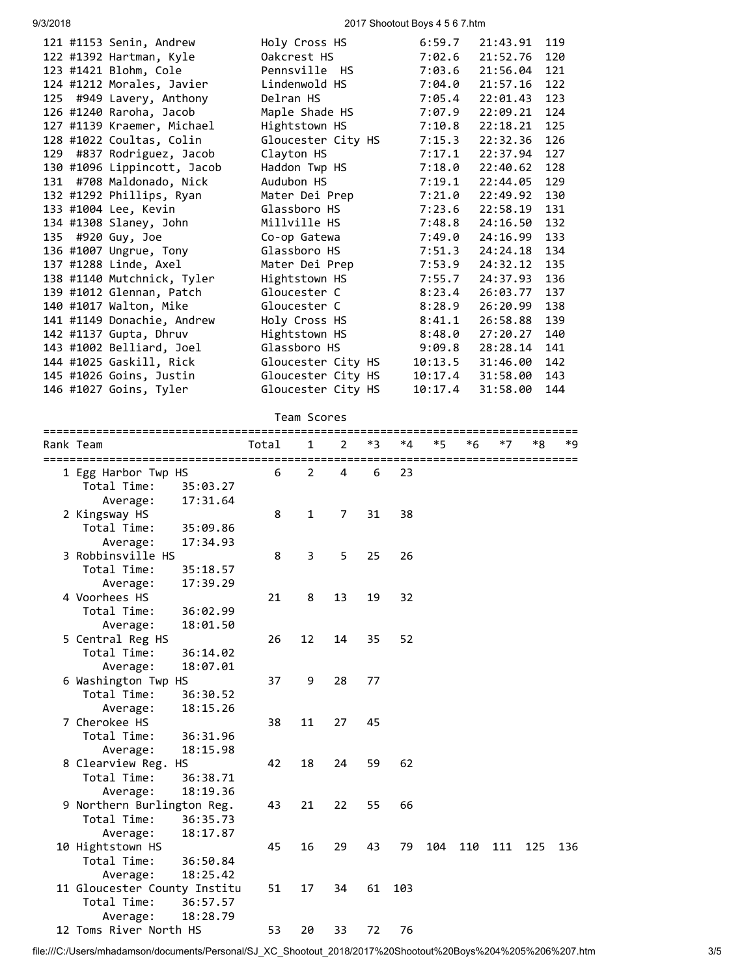9/3/2018 2017 Shootout Boys 4 5 6 7.htm

|     |                             |                    | 6:59.7  | 21:43.91 | 119 |
|-----|-----------------------------|--------------------|---------|----------|-----|
|     | 121 #1153 Senin, Andrew     | Holy Cross HS      |         |          | 120 |
|     | 122 #1392 Hartman, Kyle     | Oakcrest HS        | 7:02.6  | 21:52.76 |     |
|     | 123 #1421 Blohm, Cole       | Pennsville HS      | 7:03.6  | 21:56.04 | 121 |
|     | 124 #1212 Morales, Javier   | Lindenwold HS      | 7:04.0  | 21:57.16 | 122 |
| 125 | #949 Lavery, Anthony        | Delran HS          | 7:05.4  | 22:01.43 | 123 |
|     | 126 #1240 Raroha, Jacob     | Maple Shade HS     | 7:07.9  | 22:09.21 | 124 |
|     | 127 #1139 Kraemer, Michael  | Hightstown HS      | 7:10.8  | 22:18.21 | 125 |
|     | 128 #1022 Coultas, Colin    | Gloucester City HS | 7:15.3  | 22:32.36 | 126 |
| 129 | #837 Rodriguez, Jacob       | Clayton HS         | 7:17.1  | 22:37.94 | 127 |
|     | 130 #1096 Lippincott, Jacob | Haddon Twp HS      | 7:18.0  | 22:40.62 | 128 |
|     | 131 #708 Maldonado, Nick    | Audubon HS         | 7:19.1  | 22:44.05 | 129 |
|     | 132 #1292 Phillips, Ryan    | Mater Dei Prep     | 7:21.0  | 22:49.92 | 130 |
|     | 133 #1004 Lee, Kevin        | Glassboro HS       | 7:23.6  | 22:58.19 | 131 |
|     | 134 #1308 Slaney, John      | Millville HS       | 7:48.8  | 24:16.50 | 132 |
|     | 135 #920 Guy, Joe           | Co-op Gatewa       | 7:49.0  | 24:16.99 | 133 |
|     | 136 #1007 Ungrue, Tony      | Glassboro HS       | 7:51.3  | 24:24.18 | 134 |
|     | 137 #1288 Linde, Axel       | Mater Dei Prep     | 7:53.9  | 24:32.12 | 135 |
|     | 138 #1140 Mutchnick, Tyler  | Hightstown HS      | 7:55.7  | 24:37.93 | 136 |
|     | 139 #1012 Glennan, Patch    | Gloucester C       | 8:23.4  | 26:03.77 | 137 |
|     | 140 #1017 Walton, Mike      | Gloucester C       | 8:28.9  | 26:20.99 | 138 |
|     | 141 #1149 Donachie, Andrew  | Holy Cross HS      | 8:41.1  | 26:58.88 | 139 |
|     | 142 #1137 Gupta, Dhruv      | Hightstown HS      | 8:48.0  | 27:20.27 | 140 |
|     | 143 #1002 Belliard, Joel    | Glassboro HS       | 9:09.8  | 28:28.14 | 141 |
|     | 144 #1025 Gaskill, Rick     |                    | 10:13.5 | 31:46.00 | 142 |
|     |                             | Gloucester City HS |         |          |     |
|     | 145 #1026 Goins, Justin     | Gloucester City HS | 10:17.4 | 31:58.00 | 143 |
|     | 146 #1027 Goins, Tyler      | Gloucester City HS | 10:17.4 | 31:58.00 | 144 |
|     |                             |                    |         |          |     |

## Team Scores

| ==================           |       |                |    |    |     |      |     |                               |     |     |  |
|------------------------------|-------|----------------|----|----|-----|------|-----|-------------------------------|-----|-----|--|
| Rank Team                    | Total | 1              | 2  | *3 | *4  | $*5$ | *6  | *7                            | *8  | *9  |  |
|                              |       |                |    |    |     |      |     | ============================= |     |     |  |
| 1 Egg Harbor Twp HS          | 6     | $\overline{2}$ | 4  | 6  | 23  |      |     |                               |     |     |  |
| Total Time:<br>35:03.27      |       |                |    |    |     |      |     |                               |     |     |  |
| 17:31.64<br>Average:         |       |                |    |    |     |      |     |                               |     |     |  |
| 2 Kingsway HS                | 8     | $\mathbf{1}$   | 7  | 31 | 38  |      |     |                               |     |     |  |
| Total Time:<br>35:09.86      |       |                |    |    |     |      |     |                               |     |     |  |
| 17:34.93<br>Average:         |       |                |    |    |     |      |     |                               |     |     |  |
| 3 Robbinsville HS            | 8     | $\overline{3}$ | 5  | 25 | 26  |      |     |                               |     |     |  |
| Total Time:<br>35:18.57      |       |                |    |    |     |      |     |                               |     |     |  |
| 17:39.29<br>Average:         |       |                |    |    |     |      |     |                               |     |     |  |
| 4 Voorhees HS                | 21    | 8              | 13 | 19 | 32  |      |     |                               |     |     |  |
| Total Time:<br>36:02.99      |       |                |    |    |     |      |     |                               |     |     |  |
| 18:01.50<br>Average:         |       |                |    |    |     |      |     |                               |     |     |  |
| 5 Central Reg HS             | 26    | 12             | 14 | 35 | 52  |      |     |                               |     |     |  |
| Total Time:<br>36:14.02      |       |                |    |    |     |      |     |                               |     |     |  |
| 18:07.01<br>Average:         |       |                |    |    |     |      |     |                               |     |     |  |
| 6 Washington Twp HS          | 37    | 9              | 28 | 77 |     |      |     |                               |     |     |  |
| Total Time:<br>36:30.52      |       |                |    |    |     |      |     |                               |     |     |  |
| 18:15.26<br>Average:         |       |                |    |    |     |      |     |                               |     |     |  |
| 7 Cherokee HS                | 38    | 11             | 27 | 45 |     |      |     |                               |     |     |  |
| Total Time:<br>36:31.96      |       |                |    |    |     |      |     |                               |     |     |  |
| 18:15.98<br>Average:         |       |                |    |    |     |      |     |                               |     |     |  |
| 8 Clearview Reg.<br>HS       | 42    | 18             | 24 | 59 | 62  |      |     |                               |     |     |  |
| Total Time:<br>36:38.71      |       |                |    |    |     |      |     |                               |     |     |  |
| 18:19.36<br>Average:         |       |                |    |    |     |      |     |                               |     |     |  |
| 9 Northern Burlington Reg.   | 43    | 21             | 22 | 55 | 66  |      |     |                               |     |     |  |
| Total Time:<br>36:35.73      |       |                |    |    |     |      |     |                               |     |     |  |
| 18:17.87<br>Average:         |       |                |    |    |     |      |     |                               |     |     |  |
| 10 Hightstown HS             | 45    | 16             | 29 | 43 | 79  | 104  | 110 | 111                           | 125 | 136 |  |
| Total Time:<br>36:50.84      |       |                |    |    |     |      |     |                               |     |     |  |
| 18:25.42<br>Average:         |       |                |    |    |     |      |     |                               |     |     |  |
| 11 Gloucester County Institu | 51    | 17             | 34 | 61 | 103 |      |     |                               |     |     |  |
| Total Time:<br>36:57.57      |       |                |    |    |     |      |     |                               |     |     |  |
| 18:28.79<br>Average:         |       |                |    |    |     |      |     |                               |     |     |  |
| 12 Toms River North HS       | 53    | 20             | 33 | 72 | 76  |      |     |                               |     |     |  |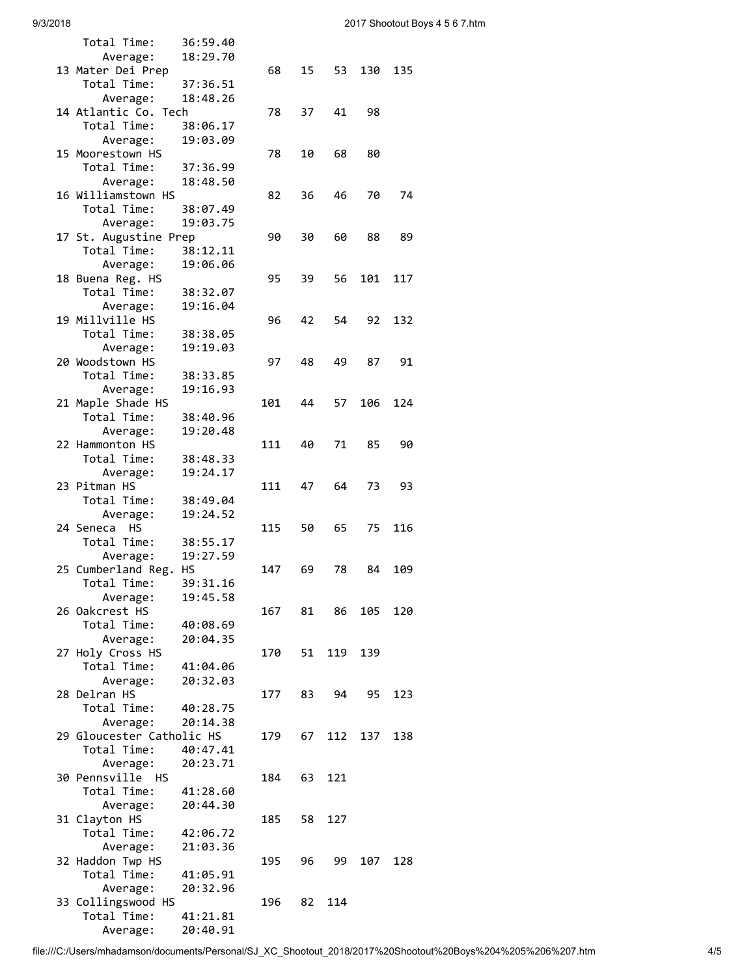| Total Time:               | 36:59.40 |     |    |     |     |     |
|---------------------------|----------|-----|----|-----|-----|-----|
| Average:                  | 18:29.70 |     |    |     |     |     |
| 13 Mater Dei Prep         |          | 68  | 15 | 53  | 130 | 135 |
| Total Time:               | 37:36.51 |     |    |     |     |     |
| Average:                  | 18:48.26 |     |    |     |     |     |
| 14 Atlantic Co.<br>Tech   |          | 78  | 37 | 41  | 98  |     |
| Total Time:               | 38:06.17 |     |    |     |     |     |
| Average:                  | 19:03.09 |     |    |     |     |     |
| 15 Moorestown HS          |          | 78  | 10 | 68  | 80  |     |
| Total Time:               | 37:36.99 |     |    |     |     |     |
| Average:                  | 18:48.50 |     |    |     |     |     |
| 16 Williamstown HS        |          | 82  | 36 | 46  | 70  | 74  |
| Total Time:               | 38:07.49 |     |    |     |     |     |
|                           | 19:03.75 |     |    |     |     |     |
| Average:                  |          |     |    |     |     |     |
| 17 St. Augustine Prep     |          | 90  | 30 | 60  | 88  | 89  |
| Total Time:               | 38:12.11 |     |    |     |     |     |
| Average:                  | 19:06.06 |     |    |     |     |     |
| 18 Buena Reg. HS          |          | 95  | 39 | 56  | 101 | 117 |
| Total Time:               | 38:32.07 |     |    |     |     |     |
| Average:                  | 19:16.04 |     |    |     |     |     |
| 19 Millville HS           |          | 96  | 42 | 54  | 92  | 132 |
| Total Time:               | 38:38.05 |     |    |     |     |     |
| Average:                  | 19:19.03 |     |    |     |     |     |
| 20 Woodstown HS           |          | 97  | 48 | 49  | 87  | 91  |
| Total Time:               | 38:33.85 |     |    |     |     |     |
| Average:                  | 19:16.93 |     |    |     |     |     |
| 21 Maple Shade HS         |          | 101 | 44 | 57  | 106 | 124 |
| Total Time:               | 38:40.96 |     |    |     |     |     |
| Average:                  | 19:20.48 |     |    |     |     |     |
| 22 Hammonton HS           |          | 111 | 40 | 71  | 85  | 90  |
| Total Time:               | 38:48.33 |     |    |     |     |     |
|                           | 19:24.17 |     |    |     |     |     |
| Average:<br>23 Pitman HS  |          | 111 | 47 | 64  | 73  | 93  |
|                           |          |     |    |     |     |     |
| Total Time:               | 38:49.04 |     |    |     |     |     |
| Average:                  | 19:24.52 |     |    |     |     |     |
| 24 Seneca<br>НS           |          | 115 | 50 | 65  | 75  | 116 |
| Total Time:               | 38:55.17 |     |    |     |     |     |
| Average:                  | 19:27.59 |     |    |     |     |     |
| 25 Cumberland Reg.        | HS       | 147 | 69 | 78  | 84  | 109 |
| Total Time:               | 39:31.16 |     |    |     |     |     |
| Average:                  | 19:45.58 |     |    |     |     |     |
| 26 Oakcrest HS            |          | 167 | 81 | 86  | 105 | 120 |
| Total Time:               | 40:08.69 |     |    |     |     |     |
| Average:                  | 20:04.35 |     |    |     |     |     |
| 27 Holy Cross HS          |          | 170 | 51 | 119 | 139 |     |
| Total Time:               | 41:04.06 |     |    |     |     |     |
| Average:                  | 20:32.03 |     |    |     |     |     |
| 28 Delran HS              |          | 177 | 83 | 94  | 95  | 123 |
| Total Time:               | 40:28.75 |     |    |     |     |     |
| Average:                  | 20:14.38 |     |    |     |     |     |
| 29 Gloucester Catholic HS |          | 179 | 67 | 112 | 137 | 138 |
| Total Time:               | 40:47.41 |     |    |     |     |     |
|                           |          |     |    |     |     |     |
| Average:                  | 20:23.71 |     |    |     |     |     |
| 30 Pennsville HS          |          | 184 | 63 | 121 |     |     |
| Total Time:               | 41:28.60 |     |    |     |     |     |
| Average:                  | 20:44.30 |     |    |     |     |     |
| 31 Clayton HS             |          | 185 | 58 | 127 |     |     |
| Total Time:               | 42:06.72 |     |    |     |     |     |
| Average:                  | 21:03.36 |     |    |     |     |     |
| 32 Haddon Twp HS          |          | 195 | 96 | 99  | 107 | 128 |
| Total Time:               | 41:05.91 |     |    |     |     |     |
| Average:                  | 20:32.96 |     |    |     |     |     |
| 33 Collingswood HS        |          | 196 | 82 | 114 |     |     |
| Total Time:               | 41:21.81 |     |    |     |     |     |
| Average:                  | 20:40.91 |     |    |     |     |     |